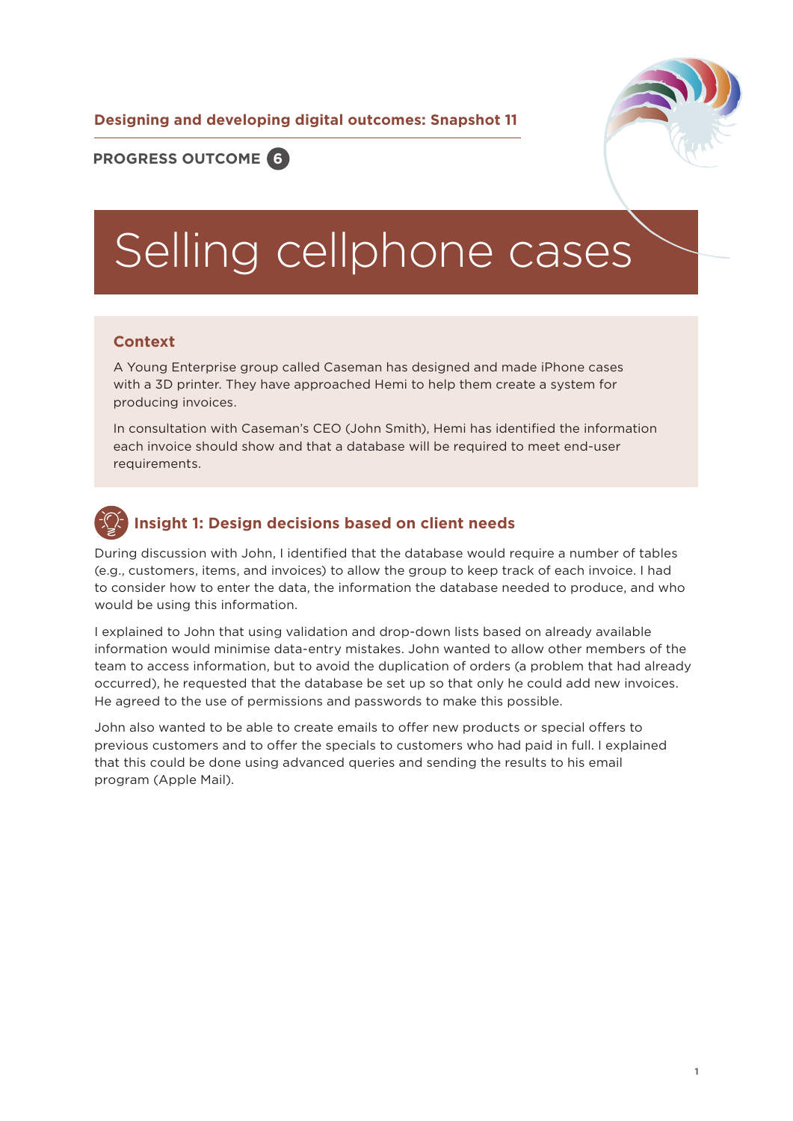**Designing and developing digital outcomes: Snapshot 11**



# **PROGRESS OUTCOME 6**

# Selling cellphone cases

#### **Context**

A Young Enterprise group called Caseman has designed and made iPhone cases with a 3D printer. They have approached Hemi to help them create a system for producing invoices.

In consultation with Caseman's CEO (John Smith), Hemi has identified the information each invoice should show and that a database will be required to meet end-user requirements.

# **Insight 1: Design decisions based on client needs**

During discussion with John, I identified that the database would require a number of tables (e.g., customers, items, and invoices) to allow the group to keep track of each invoice. I had to consider how to enter the data, the information the database needed to produce, and who would be using this information.

I explained to John that using validation and drop-down lists based on already available information would minimise data-entry mistakes. John wanted to allow other members of the team to access information, but to avoid the duplication of orders (a problem that had already occurred), he requested that the database be set up so that only he could add new invoices. He agreed to the use of permissions and passwords to make this possible.

John also wanted to be able to create emails to offer new products or special offers to previous customers and to offer the specials to customers who had paid in full. I explained that this could be done using advanced queries and sending the results to his email program (Apple Mail).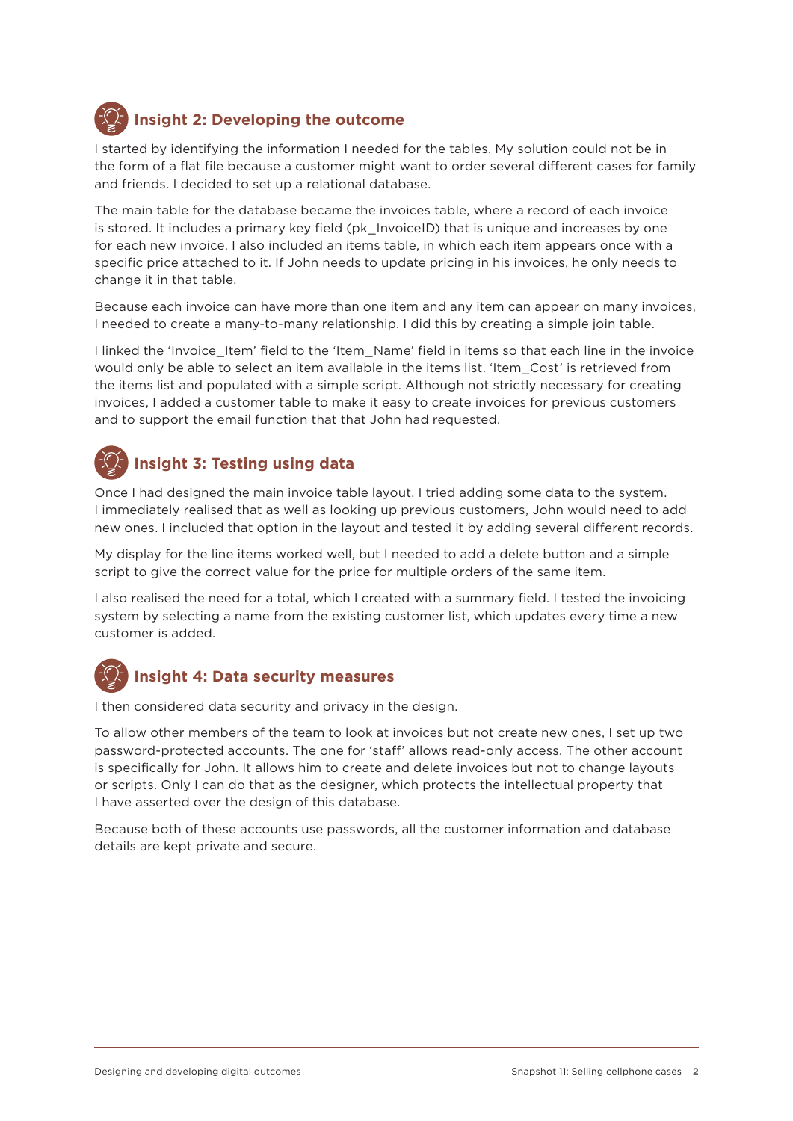

# **Insight 2: Developing the outcome**

I started by identifying the information I needed for the tables. My solution could not be in the form of a flat file because a customer might want to order several different cases for family and friends. I decided to set up a relational database.

The main table for the database became the invoices table, where a record of each invoice is stored. It includes a primary key field (pk InvoiceID) that is unique and increases by one for each new invoice. I also included an items table, in which each item appears once with a specific price attached to it. If John needs to update pricing in his invoices, he only needs to change it in that table.

Because each invoice can have more than one item and any item can appear on many invoices, I needed to create a many-to-many relationship. I did this by creating a simple join table.

I linked the 'Invoice Item' field to the 'Item Name' field in items so that each line in the invoice would only be able to select an item available in the items list. 'Item\_Cost' is retrieved from the items list and populated with a simple script. Although not strictly necessary for creating invoices, I added a customer table to make it easy to create invoices for previous customers and to support the email function that that John had requested.

# **Insight 3: Testing using data**

Once I had designed the main invoice table layout, I tried adding some data to the system. I immediately realised that as well as looking up previous customers, John would need to add new ones. I included that option in the layout and tested it by adding several different records.

My display for the line items worked well, but I needed to add a delete button and a simple script to give the correct value for the price for multiple orders of the same item.

I also realised the need for a total, which I created with a summary field. I tested the invoicing system by selecting a name from the existing customer list, which updates every time a new customer is added.



### **Insight 4: Data security measures**

I then considered data security and privacy in the design.

To allow other members of the team to look at invoices but not create new ones, I set up two password-protected accounts. The one for 'staff' allows read-only access. The other account is specifically for John. It allows him to create and delete invoices but not to change layouts or scripts. Only I can do that as the designer, which protects the intellectual property that I have asserted over the design of this database.

Because both of these accounts use passwords, all the customer information and database details are kept private and secure.